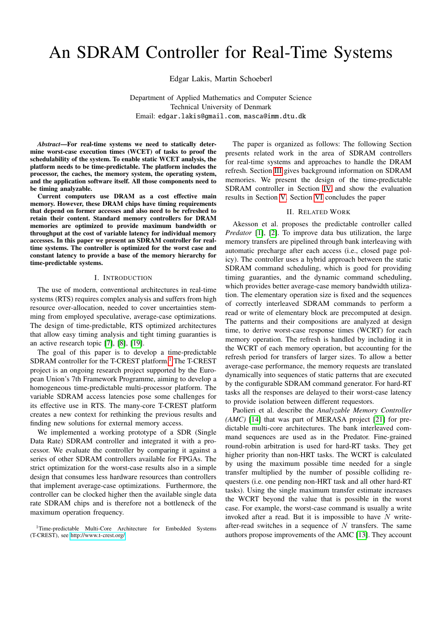# An SDRAM Controller for Real-Time Systems

Edgar Lakis, Martin Schoeberl

Department of Applied Mathematics and Computer Science Technical University of Denmark Email: edgar.lakis@gmail.com, masca@imm.dtu.dk

*Abstract*—For real-time systems we need to statically determine worst-case execution times (WCET) of tasks to proof the schedulability of the system. To enable static WCET analysis, the platform needs to be time-predictable. The platform includes the processor, the caches, the memory system, the operating system, and the application software itself. All those components need to be timing analyzable.

Current computers use DRAM as a cost effective main memory. However, these DRAM chips have timing requirements that depend on former accesses and also need to be refreshed to retain their content. Standard memory controllers for DRAM memories are optimized to provide maximum bandwidth or throughput at the cost of variable latency for individual memory accesses. In this paper we present an SDRAM controller for realtime systems. The controller is optimized for the worst case and constant latency to provide a base of the memory hierarchy for time-predictable systems.

#### I. INTRODUCTION

The use of modern, conventional architectures in real-time systems (RTS) requires complex analysis and suffers from high resource over-allocation, needed to cover uncertainties stemming from employed speculative, average-case optimizations. The design of time-predictable, RTS optimized architectures that allow easy timing analysis and tight timing guaranties is an active research topic [\[7\]](#page-7-0), [\[8\]](#page-7-1), [\[19\]](#page-7-2).

The goal of this paper is to develop a time-predictable SDRAM controller for the T-CREST platform.<sup>[1](#page-0-0)</sup> The T-CREST project is an ongoing research project supported by the European Union's 7th Framework Programme, aiming to develop a homogeneous time-predictable multi-processor platform. The variable SDRAM access latencies pose some challenges for its effective use in RTS. The many-core T-CREST platform creates a new context for rethinking the previous results and finding new solutions for external memory access.

We implemented a working prototype of a SDR (Single Data Rate) SDRAM controller and integrated it with a processor. We evaluate the controller by comparing it against a series of other SDRAM controllers available for FPGAs. The strict optimization for the worst-case results also in a simple design that consumes less hardware resources than controllers that implement average-case optimizations. Furthermore, the controller can be clocked higher then the available single data rate SDRAM chips and is therefore not a bottleneck of the maximum operation frequency.

The paper is organized as follows: The following Section presents related work in the area of SDRAM controllers for real-time systems and approaches to handle the DRAM refresh. Section [III](#page-1-0) gives background information on SDRAM memories. We present the design of the time-predictable SDRAM controller in Section [IV](#page-3-0) and show the evaluation results in Section [V.](#page-6-0) Section [VI](#page-7-3) concludes the paper

#### II. RELATED WORK

Akesson et al. proposes the predictable controller called *Predator* [\[1\]](#page-7-4), [\[2\]](#page-7-5). To improve data bus utilization, the large memory transfers are pipelined through bank interleaving with automatic precharge after each access (i.e., closed page policy). The controller uses a hybrid approach between the static SDRAM command scheduling, which is good for providing timing guaranties, and the dynamic command scheduling, which provides better average-case memory bandwidth utilization. The elementary operation size is fixed and the sequences of correctly interleaved SDRAM commands to perform a read or write of elementary block are precomputed at design. The patterns and their compositions are analyzed at design time, to derive worst-case response times (WCRT) for each memory operation. The refresh is handled by including it in the WCRT of each memory operation, but accounting for the refresh period for transfers of larger sizes. To allow a better average-case performance, the memory requests are translated dynamically into sequences of static patterns that are executed by the configurable SDRAM command generator. For hard-RT tasks all the responses are delayed to their worst-case latency to provide isolation between different requestors.

Paolieri et al. describe the *Analyzable Memory Controller (AMC)* [\[14\]](#page-7-6) that was part of MERASA project [\[21\]](#page-7-7) for predictable multi-core architectures. The bank interleaved command sequences are used as in the Predator. Fine-grained round-robin arbitration is used for hard-RT tasks. They get higher priority than non-HRT tasks. The WCRT is calculated by using the maximum possible time needed for a single transfer multiplied by the number of possible colliding requesters (i.e. one pending non-HRT task and all other hard-RT tasks). Using the single maximum transfer estimate increases the WCRT beyond the value that is possible in the worst case. For example, the worst-case command is usually a write invoked after a read. But it is impossible to have  $N$  writeafter-read switches in a sequence of  $N$  transfers. The same authors propose improvements of the AMC [\[13\]](#page-7-8). They account

<span id="page-0-0"></span><sup>&</sup>lt;sup>1</sup>Time-predictable Multi-Core Architecture for Embedded Systems (T-CREST), see<http://www.t-crest.org/>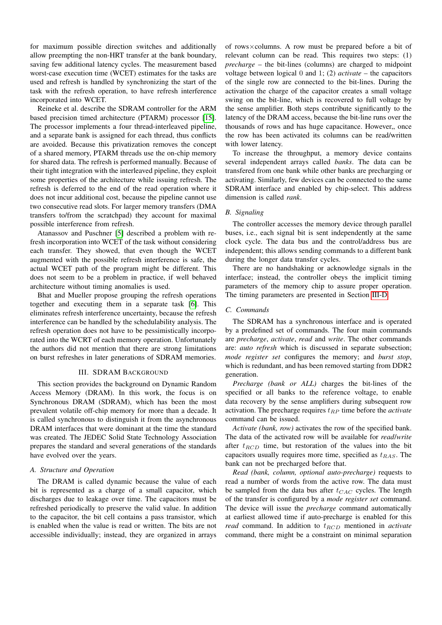for maximum possible direction switches and additionally allow preempting the non-HRT transfer at the bank boundary, saving few additional latency cycles. The measurement based worst-case execution time (WCET) estimates for the tasks are used and refresh is handled by synchronizing the start of the task with the refresh operation, to have refresh interference incorporated into WCET.

Reineke et al. describe the SDRAM controller for the ARM based precision timed architecture (PTARM) processor [\[15\]](#page-7-9). The processor implements a four thread-interleaved pipeline, and a separate bank is assigned for each thread, thus conflicts are avoided. Because this privatization removes the concept of a shared memory, PTARM threads use the on-chip memory for shared data. The refresh is performed manually. Because of their tight integration with the interleaved pipeline, they exploit some properties of the architecture while issuing refresh. The refresh is deferred to the end of the read operation where it does not incur additional cost, because the pipeline cannot use two consecutive read slots. For larger memory transfers (DMA transfers to/from the scratchpad) they account for maximal possible interference from refresh.

Atanassov and Puschner [\[5\]](#page-7-10) described a problem with refresh incorporation into WCET of the task without considering each transfer. They showed, that even though the WCET augmented with the possible refresh interference is safe, the actual WCET path of the program might be different. This does not seem to be a problem in practice, if well behaved architecture without timing anomalies is used.

Bhat and Mueller propose grouping the refresh operations together and executing them in a separate task [\[6\]](#page-7-11). This eliminates refresh interference uncertainty, because the refresh interference can be handled by the schedulability analysis. The refresh operation does not have to be pessimistically incorporated into the WCRT of each memory operation. Unfortunately the authors did not mention that there are strong limitations on burst refreshes in later generations of SDRAM memories.

#### III. SDRAM BACKGROUND

<span id="page-1-0"></span>This section provides the background on Dynamic Random Access Memory (DRAM). In this work, the focus is on Synchronous DRAM (SDRAM), which has been the most prevalent volatile off-chip memory for more than a decade. It is called synchronous to distinguish it from the asynchronous DRAM interfaces that were dominant at the time the standard was created. The JEDEC Solid State Technology Association prepares the standard and several generations of the standards have evolved over the years.

# *A. Structure and Operation*

The DRAM is called dynamic because the value of each bit is represented as a charge of a small capacitor, which discharges due to leakage over time. The capacitors must be refreshed periodically to preserve the valid value. In addition to the capacitor, the bit cell contains a pass transistor, which is enabled when the value is read or written. The bits are not accessible individually; instead, they are organized in arrays

of rows×columns. A row must be prepared before a bit of relevant column can be read. This requires two steps: (1) *precharge* – the bit-lines (columns) are charged to midpoint voltage between logical 0 and 1; (2) *activate* – the capacitors of the single row are connected to the bit-lines. During the activation the charge of the capacitor creates a small voltage swing on the bit-line, which is recovered to full voltage by the sense amplifier. Both steps contribute significantly to the latency of the DRAM access, because the bit-line runs over the thousands of rows and has huge capacitance. However,, once the row has been activated its columns can be read/written with lower latency.

To increase the throughput, a memory device contains several independent arrays called *banks*. The data can be transfered from one bank while other banks are precharging or activating. Similarly, few devices can be connected to the same SDRAM interface and enabled by chip-select. This address dimension is called *rank*.

# *B. Signaling*

The controller accesses the memory device through parallel buses, i.e., each signal bit is sent independently at the same clock cycle. The data bus and the control/address bus are independent; this allows sending commands to a different bank during the longer data transfer cycles.

There are no handshaking or acknowledge signals in the interface; instead, the controller obeys the implicit timing parameters of the memory chip to assure proper operation. The timing parameters are presented in Section [III-D.](#page-2-0)

#### *C. Commands*

The SDRAM has a synchronous interface and is operated by a predefined set of commands. The four main commands are *precharge*, *activate*, *read* and *write*. The other commands are: *auto refresh* which is discussed in separate subsection; *mode register set* configures the memory; and *burst stop*, which is redundant, and has been removed starting from DDR2 generation.

*Precharge (bank or ALL)* charges the bit-lines of the specified or all banks to the reference voltage, to enable data recovery by the sense amplifiers during subsequent row activation. The precharge requires  $t_{RP}$  time before the *activate* command can be issued.

*Activate (bank, row)* activates the row of the specified bank. The data of the activated row will be available for *read*/*write* after  $t_{BCD}$  time, but restoration of the values into the bit capacitors usually requires more time, specified as  $t_{RAS}$ . The bank can not be precharged before that.

*Read (bank, column, optional auto-precharge)* requests to read a number of words from the active row. The data must be sampled from the data bus after  $t_{CAC}$  cycles. The length of the transfer is configured by a *mode register set* command. The device will issue the *precharge* command automatically at earliest allowed time if auto-precharge is enabled for this *read* command. In addition to  $t_{RCD}$  mentioned in *activate* command, there might be a constraint on minimal separation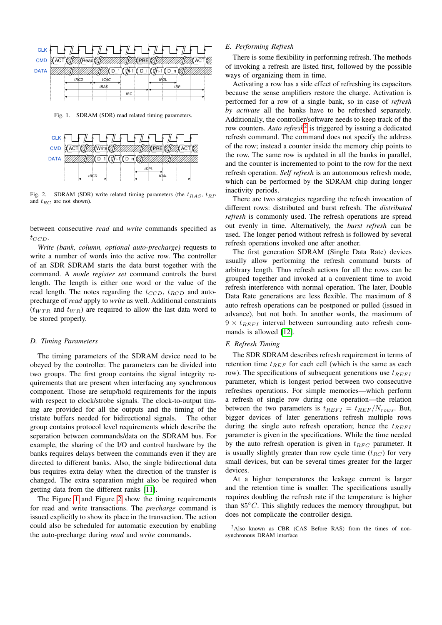

<span id="page-2-1"></span>Fig. 1. SDRAM (SDR) read related timing parameters



<span id="page-2-2"></span>Fig. 2. SDRAM (SDR) write related timing parameters (the  $t_{RAS}$ ,  $t_{RP}$ and  $t_{RC}$  are not shown).

between consecutive *read* and *write* commands specified as  $t_{CCD}$ .

*Write (bank, column, optional auto-precharge)* requests to write a number of words into the active row. The controller of an SDR SDRAM starts the data burst together with the command. A *mode register set* command controls the burst length. The length is either one word or the value of the read length. The notes regarding the  $t_{CCD}$ ,  $t_{RCD}$  and autoprecharge of *read* apply to *write* as well. Additional constraints  $(t_{WTR}$  and  $t_{WR}$  are required to allow the last data word to be stored properly.

# <span id="page-2-0"></span>*D. Timing Parameters*

The timing parameters of the SDRAM device need to be obeyed by the controller. The parameters can be divided into two groups. The first group contains the signal integrity requirements that are present when interfacing any synchronous component. Those are setup/hold requirements for the inputs with respect to clock/strobe signals. The clock-to-output timing are provided for all the outputs and the timing of the tristate buffers needed for bidirectional signals. The other group contains protocol level requirements which describe the separation between commands/data on the SDRAM bus. For example, the sharing of the I/O and control hardware by the banks requires delays between the commands even if they are directed to different banks. Also, the single bidirectional data bus requires extra delay when the direction of the transfer is changed. The extra separation might also be required when getting data from the different ranks [\[11\]](#page-7-12).

The Figure [1](#page-2-1) and Figure [2](#page-2-2) show the timing requirements for read and write transactions. The *precharge* command is issued explicitly to show its place in the transaction. The action could also be scheduled for automatic execution by enabling the auto-precharge during *read* and *write* commands.

# *E. Performing Refresh*

There is some flexibility in performing refresh. The methods of invoking a refresh are listed first, followed by the possible ways of organizing them in time.

Activating a row has a side effect of refreshing its capacitors because the sense amplifiers restore the charge. Activation is performed for a row of a single bank, so in case of *refresh by activate* all the banks have to be refreshed separately. Additionally, the controller/software needs to keep track of the row counters. Auto refresh<sup>[2](#page-2-3)</sup> is triggered by issuing a dedicated refresh command. The command does not specify the address of the row; instead a counter inside the memory chip points to the row. The same row is updated in all the banks in parallel, and the counter is incremented to point to the row for the next refresh operation. *Self refresh* is an autonomous refresh mode, which can be performed by the SDRAM chip during longer inactivity periods.

There are two strategies regarding the refresh invocation of different rows: distributed and burst refresh. The *distributed refresh* is commonly used. The refresh operations are spread out evenly in time. Alternatively, the *burst refresh* can be used. The longer period without refresh is followed by several refresh operations invoked one after another.

The first generation SDRAM (Single Data Rate) devices usually allow performing the refresh command bursts of arbitrary length. Thus refresh actions for all the rows can be grouped together and invoked at a convenient time to avoid refresh interference with normal operation. The later, Double Data Rate generations are less flexible. The maximum of 8 auto refresh operations can be postponed or pulled (issued in advance), but not both. In another words, the maximum of  $9 \times t_{REFI}$  interval between surrounding auto refresh commands is allowed [\[12\]](#page-7-13).

# *F. Refresh Timing*

The SDR SDRAM describes refresh requirement in terms of retention time  $t_{REF}$  for each cell (which is the same as each row). The specifications of subsequent generations use  $t_{REFI}$ parameter, which is longest period between two consecutive refreshes operations. For simple memories—which perform a refresh of single row during one operation—the relation between the two parameters is  $t_{REF} = t_{REF}/N_{rows}$ . But, bigger devices of later generations refresh multiple rows during the single auto refresh operation; hence the  $t_{REFI}$ parameter is given in the specifications. While the time needed by the auto refresh operation is given in  $t_{RFC}$  parameter. It is usually slightly greater than row cycle time  $(t_{RC})$  for very small devices, but can be several times greater for the larger devices.

At a higher temperatures the leakage current is larger and the retention time is smaller. The specifications usually requires doubling the refresh rate if the temperature is higher than  $85^{\circ}$ C. This slightly reduces the memory throughput, but does not complicate the controller design.

<span id="page-2-3"></span><sup>2</sup>Also known as CBR (CAS Before RAS) from the times of nonsynchronous DRAM interface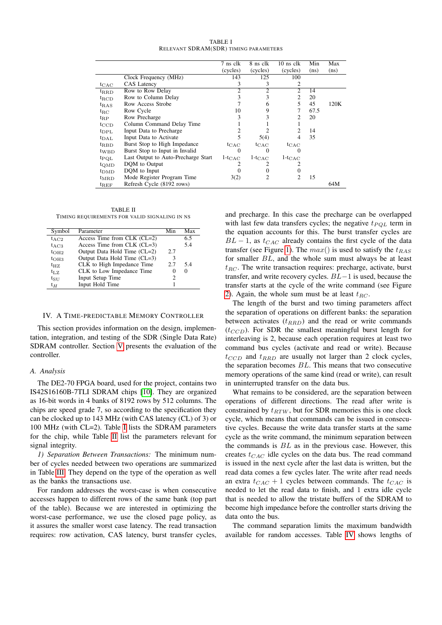| TABLE I                               |
|---------------------------------------|
| RELEVANT SDRAM(SDR) TIMING PARAMETERS |
|                                       |
|                                       |

<span id="page-3-1"></span>

|                    |                                     | 7 ns clk  | 8 ns clk        | $10$ ns clk    | Min  | Max  |
|--------------------|-------------------------------------|-----------|-----------------|----------------|------|------|
|                    |                                     | (cycles)  | (cycles)        | (cycles)       | (ns) | (ns) |
|                    | Clock Frequency (MHz)               | 143       | 125             | 100            |      |      |
| $t_{CAC}$          | CAS Latency                         | 3         | 3               | 2              |      |      |
| $t_{\rm RRD}$      | Row to Row Delay                    | 2         | $\overline{c}$  | 2              | 14   |      |
| $t_{\rm RCD}$      | Row to Column Delay                 | 3         | 3               | 2              | 20   |      |
| $t_{RAS}$          | Row Access Strobe                   |           | 6               | 5              | 45   | 120K |
| $t_{\rm RC}$       | Row Cycle                           | 10        | 9               | 7              | 67.5 |      |
| $t_{\rm RP}$       | Row Precharge                       |           | 3               | 2              | 20   |      |
| $t_{\rm CCD}$      | Column Command Delay Time           |           |                 |                |      |      |
| $t_{\rm DPL}$      | Input Data to Precharge             |           |                 |                | 14   |      |
| $t_{\rm DAL}$      | Input Data to Activate              |           | 5(4)            |                | 35   |      |
| $t_{\rm RBD}$      | Burst Stop to High Impedance        | $t_{CAC}$ | $t_{CAC}$       | $t_{CAC}$      |      |      |
| twb <sub>D</sub>   | Burst Stop to Input in Invalid      | 0         |                 |                |      |      |
| $t_{\rm POL}$      | Last Output to Auto-Precharge Start | $1-tCAC$  | $1-t_{\rm CAC}$ | $1-t_{CAC}$    |      |      |
| $t_{QMD}$          | DQM to Output                       |           |                 |                |      |      |
| $t_{\rm DMD}$      | DOM to Input                        |           |                 |                |      |      |
| $t_{\rm MRD}$      | Mode Register Program Time          | 3(2)      | 2               | $\overline{c}$ | 15   |      |
| $\mathrm{t_{REF}}$ | Refresh Cycle (8192 rows)           |           |                 |                |      | 64M  |

TABLE II TIMING REQUIREMENTS FOR VALID SIGNALING IN NS

<span id="page-3-2"></span>

| Symbol        | Parameter                    | Min | Max |
|---------------|------------------------------|-----|-----|
| $t_{\rm AC2}$ | Access Time from CLK (CL=2)  |     | 6.5 |
| $t_{\rm AC3}$ | Access Time from CLK (CL=3)  |     | 5.4 |
| $t_{\rm OH2}$ | Output Data Hold Time (CL=2) | 2.7 |     |
| $t_{OHA}$     | Output Data Hold Time (CL=3) | ٩   |     |
| $t_{HZ}$      | CLK to High Impedance Time   | 2.7 | 5.4 |
| $t_{LZ}$      | CLK to Low Impedance Time    |     | 0   |
| $t_{\rm SUI}$ | Input Setup Time             | 2   |     |
| $t_H$         | Input Hold Time              |     |     |

## <span id="page-3-0"></span>IV. A TIME-PREDICTABLE MEMORY CONTROLLER

This section provides information on the design, implementation, integration, and testing of the SDR (Single Data Rate) SDRAM controller. Section [V](#page-6-0) presents the evaluation of the controller.

# *A. Analysis*

The DE2-70 FPGA board, used for the project, contains two IS42S16160B-7TLI SDRAM chips [\[10\]](#page-7-14). They are organized as 16-bit words in 4 banks of 8192 rows by 512 columns. The chips are speed grade 7, so according to the specification they can be clocked up to 143 MHz (with CAS latency (CL) of 3) or 100 MHz (with CL=2). Table [I](#page-3-1) lists the SDRAM parameters for the chip, while Table [II](#page-3-2) list the parameters relevant for signal integrity.

*1) Separation Between Transactions:* The minimum number of cycles needed between two operations are summarized in Table [III.](#page-4-0) They depend on the type of the operation as well as the banks the transactions use.

For random addresses the worst-case is when consecutive accesses happen to different rows of the same bank (top part of the table). Because we are interested in optimizing the worst-case performance, we use the closed page policy, as it assures the smaller worst case latency. The read transaction requires: row activation, CAS latency, burst transfer cycles,

and precharge. In this case the precharge can be overlapped with last few data transfers cycles; the negative  $t_{POL}$  term in the equation accounts for this. The burst transfer cycles are  $BL - 1$ , as  $t_{CAC}$  already contains the first cycle of the data transfer (see Figure [1\)](#page-2-1). The  $max()$  is used to satisfy the  $t_{RAS}$ for smaller BL, and the whole sum must always be at least  $t_{RC}$ . The write transaction requires: precharge, activate, burst transfer, and write recovery cycles.  $BL-1$  is used, because the transfer starts at the cycle of the write command (see Figure [2\)](#page-2-2). Again, the whole sum must be at least  $t_{RC}$ .

The length of the burst and two timing parameters affect the separation of operations on different banks: the separation between activates  $(t_{RRD})$  and the read or write commands  $(t_{CCD})$ . For SDR the smallest meaningful burst length for interleaving is 2, because each operation requires at least two command bus cycles (activate and read or write). Because  $t_{CCD}$  and  $t_{RRD}$  are usually not larger than 2 clock cycles, the separation becomes BL. This means that two consecutive memory operations of the same kind (read or write), can result in uninterrupted transfer on the data bus.

What remains to be considered, are the separation between operations of different directions. The read after write is constrained by  $t_{RTW}$ , but for SDR memories this is one clock cycle, which means that commands can be issued in consecutive cycles. Because the write data transfer starts at the same cycle as the write command, the minimum separation between the commands is  $BL$  as in the previous case. However, this creates  $t_{CAC}$  idle cycles on the data bus. The read command is issued in the next cycle after the last data is written, but the read data comes a few cycles later. The write after read needs an extra  $t_{CAC}$  + 1 cycles between commands. The  $t_{CAC}$  is needed to let the read data to finish, and 1 extra idle cycle that is needed to allow the tristate buffers of the SDRAM to become high impedance before the controller starts driving the data onto the bus.

The command separation limits the maximum bandwidth available for random accesses. Table [IV](#page-4-1) shows lengths of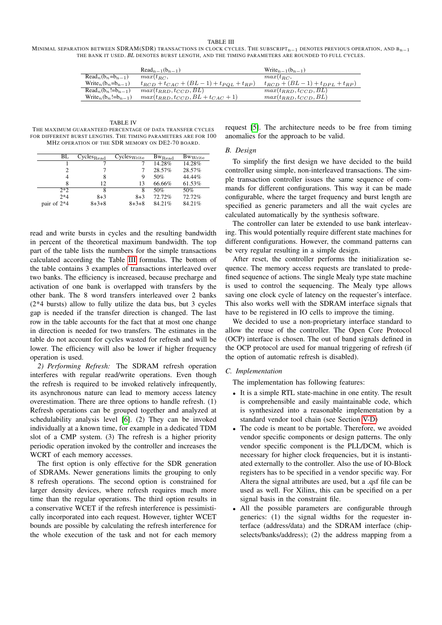#### TABLE III

<span id="page-4-0"></span>MINIMAL SEPARATION BETWEEN SDRAM(SDR) TRANSACTIONS IN CLOCK CYCLES. THE SUBSCRIPT<sub>n</sub>−1 DENOTES PREVIOUS OPERATION, AND B<sub>n</sub>−1 THE BANK IT USED. *BL* DENOTES BURST LENGTH, AND THE TIMING PARAMETERS ARE ROUNDED TO FULL CYCLES.

|                                     | $\text{Read}_{n-1}(b_{n-1})$                    | Write <sub>n-1</sub> $(b_{n-1})$         |
|-------------------------------------|-------------------------------------------------|------------------------------------------|
| $\text{Read}_n(b_n = b_{n-1})$      | $max(t_{RC},$                                   | $max(t_{RC},$                            |
| Write <sub>n</sub> $(b_n=b_{n-1})$  | $t_{RCD} + t_{CAC} + (BL-1) + t_{POL} + t_{RP}$ | $t_{RCD} + (BL - 1) + t_{DPL} + t_{RP})$ |
| $\text{Read}_n(b_n!=b_{n-1})$       | $max(t_{RRD}, t_{CCD}, BL)$                     | $max(t_{RRD}, t_{CCD}, BL)$              |
| Write <sub>n</sub> $(b_n!=b_{n-1})$ | $max(t_{RRD}, t_{CCD}, BL + t_{CAC} + 1)$       | $max(t_{RRD}, t_{CCD}, BL)$              |

<span id="page-4-1"></span>TABLE IV THE MAXIMUM GUARANTEED PERCENTAGE OF DATA TRANSFER CYCLES FOR DIFFERENT BURST LENGTHS. THE TIMING PARAMETERS ARE FOR 100 MHZ OPERATION OF THE SDR MEMORY ON DE2-70 BOARD.

| BL            | $Cycles_{Read}$ | $Cycles_{Write}$ | $Bw_{\text{Read}}$ | Bw <sub>Write</sub> |
|---------------|-----------------|------------------|--------------------|---------------------|
|               |                 |                  | 14.28%             | 14.28%              |
|               |                 |                  | 28.57%             | 28.57%              |
|               |                 | 9                | 50%                | 44.44%              |
|               | 12              | 13               | 66.66%             | 61.53%              |
| $2*2$         |                 | 8                | 50%                | 50%                 |
| $2*4$         | $8 + 3$         | $8 + 3$          | 72.72%             | 72.72%              |
| pair of $2*4$ | $8 + 3 + 8$     | $8 + 3 + 8$      | 84.21%             | 84.21%              |

read and write bursts in cycles and the resulting bandwidth in percent of the theoretical maximum bandwidth. The top part of the table lists the numbers for the simple transactions calculated according the Table [III](#page-4-0) formulas. The bottom of the table contains 3 examples of transactions interleaved over two banks. The efficiency is increased, because precharge and activation of one bank is overlapped with transfers by the other bank. The 8 word transfers interleaved over 2 banks (2\*4 bursts) allow to fully utilize the data bus, but 3 cycles gap is needed if the transfer direction is changed. The last row in the table accounts for the fact that at most one change in direction is needed for two transfers. The estimates in the table do not account for cycles wasted for refresh and will be lower. The efficiency will also be lower if higher frequency operation is used.

*2) Performing Refresh:* The SDRAM refresh operation interferes with regular read/write operations. Even though the refresh is required to be invoked relatively infrequently, its asynchronous nature can lead to memory access latency overestimation. There are three options to handle refresh. (1) Refresh operations can be grouped together and analyzed at schedulability analysis level [\[6\]](#page-7-11). (2) They can be invoked individually at a known time, for example in a dedicated TDM slot of a CMP system. (3) The refresh is a higher priority periodic operation invoked by the controller and increases the WCRT of each memory accesses.

The first option is only effective for the SDR generation of SDRAMs. Newer generations limits the grouping to only 8 refresh operations. The second option is constrained for larger density devices, where refresh requires much more time than the regular operations. The third option results in a conservative WCET if the refresh interference is pessimistically incorporated into each request. However, tighter WCET bounds are possible by calculating the refresh interference for the whole execution of the task and not for each memory

request [\[5\]](#page-7-10). The architecture needs to be free from timing anomalies for the approach to be valid.

# *B. Design*

To simplify the first design we have decided to the build controller using simple, non-interleaved transactions. The simple transaction controller issues the same sequence of commands for different configurations. This way it can be made configurable, where the target frequency and burst length are specified as generic parameters and all the wait cycles are calculated automatically by the synthesis software.

The controller can later be extended to use bank interleaving. This would potentially require different state machines for different configurations. However, the command patterns can be very regular resulting in a simple design.

After reset, the controller performs the initialization sequence. The memory access requests are translated to predefined sequence of actions. The single Mealy type state machine is used to control the sequencing. The Mealy type allows saving one clock cycle of latency on the requester's interface. This also works well with the SDRAM interface signals that have to be registered in IO cells to improve the timing.

We decided to use a non-proprietary interface standard to allow the reuse of the controller. The Open Core Protocol (OCP) interface is chosen. The out of band signals defined in the OCP protocol are used for manual triggering of refresh (if the option of automatic refresh is disabled).

# *C. Implementation*

The implementation has following features:

- It is a simple RTL state-machine in one entity. The result is comprehensible and easily maintainable code, which is synthesized into a reasonable implementation by a standard vendor tool chain (see Section [V-D\)](#page-6-1)
- The code is meant to be portable. Therefore, we avoided vendor specific components or design patterns. The only vendor specific component is the PLL/DCM, which is necessary for higher clock frequencies, but it is instantiated externally to the controller. Also the use of IO-Block registers has to be specified in a vendor specific way. For Altera the signal attributes are used, but a .qsf file can be used as well. For Xilinx, this can be specified on a per signal basis in the constraint file.
- All the possible parameters are configurable through generics: (1) the signal widths for the requester interface (address/data) and the SDRAM interface (chipselects/banks/address); (2) the address mapping from a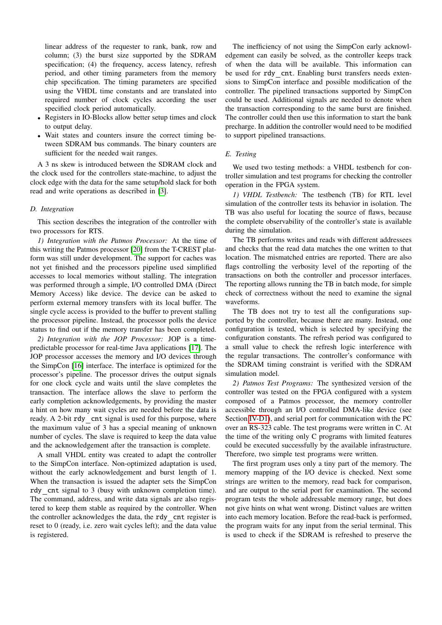linear address of the requester to rank, bank, row and column; (3) the burst size supported by the SDRAM specification; (4) the frequency, access latency, refresh period, and other timing parameters from the memory chip specification. The timing parameters are specified using the VHDL time constants and are translated into required number of clock cycles according the user specified clock period automatically.

- Registers in IO-Blocks allow better setup times and clock to output delay.
- Wait states and counters insure the correct timing between SDRAM bus commands. The binary counters are sufficient for the needed wait ranges.

A 3 ns skew is introduced between the SDRAM clock and the clock used for the controllers state-machine, to adjust the clock edge with the data for the same setup/hold slack for both read and write operations as described in [\[3\]](#page-7-15).

# *D. Integration*

This section describes the integration of the controller with two processors for RTS.

<span id="page-5-0"></span>*1) Integration with the Patmos Processor:* At the time of this writing the Patmos processor [\[20\]](#page-7-16) from the T-CREST platform was still under development. The support for caches was not yet finished and the processors pipeline used simplified accesses to local memories without stalling. The integration was performed through a simple, I/O controlled DMA (Direct Memory Access) like device. The device can be asked to perform external memory transfers with its local buffer. The single cycle access is provided to the buffer to prevent stalling the processor pipeline. Instead, the processor polls the device status to find out if the memory transfer has been completed.

<span id="page-5-1"></span>*2) Integration with the JOP Processor:* JOP is a timepredictable processor for real-time Java applications [\[17\]](#page-7-17). The JOP processor accesses the memory and I/O devices through the SimpCon [\[16\]](#page-7-18) interface. The interface is optimized for the processor's pipeline. The processor drives the output signals for one clock cycle and waits until the slave completes the transaction. The interface allows the slave to perform the early completion acknowledgements, by providing the master a hint on how many wait cycles are needed before the data is ready. A 2-bit rdy cnt signal is used for this purpose, where the maximum value of 3 has a special meaning of unknown number of cycles. The slave is required to keep the data value and the acknowledgement after the transaction is complete.

A small VHDL entity was created to adapt the controller to the SimpCon interface. Non-optimized adaptation is used, without the early acknowledgement and burst length of 1. When the transaction is issued the adapter sets the SimpCon rdy cnt signal to 3 (busy with unknown completion time). The command, address, and write data signals are also registered to keep them stable as required by the controller. When the controller acknowledges the data, the rdy cnt register is reset to 0 (ready, i.e. zero wait cycles left); and the data value is registered.

The inefficiency of not using the SimpCon early acknowledgement can easily be solved, as the controller keeps track of when the data will be available. This information can be used for rdy cnt. Enabling burst transfers needs extensions to SimpCon interface and possible modification of the controller. The pipelined transactions supported by SimpCon could be used. Additional signals are needed to denote when the transaction corresponding to the same burst are finished. The controller could then use this information to start the bank precharge. In addition the controller would need to be modified to support pipelined transactions.

# *E. Testing*

We used two testing methods: a VHDL testbench for controller simulation and test programs for checking the controller operation in the FPGA system.

*1) VHDL Testbench:* The testbench (TB) for RTL level simulation of the controller tests its behavior in isolation. The TB was also useful for locating the source of flaws, because the complete observability of the controller's state is available during the simulation.

The TB performs writes and reads with different addressees and checks that the read data matches the one written to that location. The mismatched entries are reported. There are also flags controlling the verbosity level of the reporting of the transactions on both the controller and processor interfaces. The reporting allows running the TB in batch mode, for simple check of correctness without the need to examine the signal waveforms.

The TB does not try to test all the configurations supported by the controller, because there are many. Instead, one configuration is tested, which is selected by specifying the configuration constants. The refresh period was configured to a small value to check the refresh logic interference with the regular transactions. The controller's conformance with the SDRAM timing constraint is verified with the SDRAM simulation model.

*2) Patmos Test Programs:* The synthesized version of the controller was tested on the FPGA configured with a system composed of a Patmos processor, the memory controller accessible through an I/O controlled DMA-like device (see Section [IV-D1\)](#page-5-0), and serial port for communication with the PC over an RS-323 cable. The test programs were written in C. At the time of the writing only C programs with limited features could be executed successfully by the available infrastructure. Therefore, two simple test programs were written.

The first program uses only a tiny part of the memory. The memory mapping of the I/O device is checked. Next some strings are written to the memory, read back for comparison, and are output to the serial port for examination. The second program tests the whole addressable memory range, but does not give hints on what went wrong. Distinct values are written into each memory location. Before the read-back is performed, the program waits for any input from the serial terminal. This is used to check if the SDRAM is refreshed to preserve the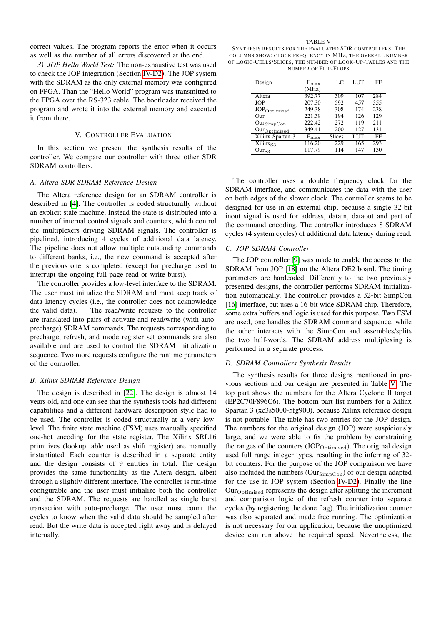correct values. The program reports the error when it occurs as well as the number of all errors discovered at the end.

*3) JOP Hello World Test:* The non-exhaustive test was used to check the JOP integration (Section [IV-D2\)](#page-5-1). The JOP system with the SDRAM as the only external memory was configured on FPGA. Than the "Hello World" program was transmitted to the FPGA over the RS-323 cable. The bootloader received the program and wrote it into the external memory and executed it from there.

#### V. CONTROLLER EVALUATION

<span id="page-6-0"></span>In this section we present the synthesis results of the controller. We compare our controller with three other SDR SDRAM controllers.

# *A. Altera SDR SDRAM Reference Design*

The Altera reference design for an SDRAM controller is described in [\[4\]](#page-7-19). The controller is coded structurally without an explicit state machine. Instead the state is distributed into a number of internal control signals and counters, which control the multiplexers driving SDRAM signals. The controller is pipelined, introducing 4 cycles of additional data latency. The pipeline does not allow multiple outstanding commands to different banks, i.e., the new command is accepted after the previous one is completed (except for precharge used to interrupt the ongoing full-page read or write burst).

The controller provides a low-level interface to the SDRAM. The user must initialize the SDRAM and must keep track of data latency cycles (i.e., the controller does not acknowledge the valid data). The read/write requests to the controller are translated into pairs of activate and read/write (with autoprecharge) SDRAM commands. The requests corresponding to precharge, refresh, and mode register set commands are also available and are used to control the SDRAM initialization sequence. Two more requests configure the runtime parameters of the controller.

# *B. Xilinx SDRAM Reference Design*

The design is described in [\[22\]](#page-7-20). The design is almost 14 years old, and one can see that the synthesis tools had different capabilities and a different hardware description style had to be used. The controller is coded structurally at a very lowlevel. The finite state machine (FSM) uses manually specified one-hot encoding for the state register. The Xilinx SRL16 primitives (lookup table used as shift register) are manually instantiated. Each counter is described in a separate entity and the design consists of 9 entities in total. The design provides the same functionality as the Altera design, albeit through a slightly different interface. The controller is run-time configurable and the user must initialize both the controller and the SDRAM. The requests are handled as single burst transaction with auto-precharge. The user must count the cycles to know when the valid data should be sampled after read. But the write data is accepted right away and is delayed internally.

#### TABLE V

<span id="page-6-2"></span>SYNTHESIS RESULTS FOR THE EVALUATED SDR CONTROLLERS. THE COLUMNS SHOW: CLOCK FREQUENCY IN MHZ, THE OVERALL NUMBER OF LOGIC-CELLS/SLICES, THE NUMBER OF LOOK-UP-TABLES AND THE NUMBER OF FLIP-FLOPS

| Design                                 | $F_{\rm max}$ | LC            | LUT | FF  |
|----------------------------------------|---------------|---------------|-----|-----|
|                                        | (MHz)         |               |     |     |
| Altera                                 | 392.77        | 309           | 107 | 284 |
| <b>JOP</b>                             | 207.30        | 592           | 457 | 355 |
| $\rm JOP_{Optimized}$                  | 249.38        | 308           | 174 | 238 |
| Our                                    | 221.39        | 194           | 126 | 129 |
| $\rm Our_{SimpCon}$                    | 222.42        | 272           | 119 | 211 |
| $Our$ $Optimized$                      | 349.41        | 200           | 127 | 131 |
| Xilinx Spartan 3                       | $F_{\rm max}$ | <b>Slices</b> | LUT | FF  |
| $\overline{\text{Xilinx}}_{\text{S}3}$ | 116.20        | 229           | 165 | 293 |
| $Our$ <sub>S3</sub>                    | 117.79        | 114           | 147 | 130 |

The controller uses a double frequency clock for the SDRAM interface, and communicates the data with the user on both edges of the slower clock. The controller seams to be designed for use in an external chip, because a single 32-bit inout signal is used for address, datain, dataout and part of the command encoding. The controller introduces 8 SDRAM cycles (4 system cycles) of additional data latency during read.

# *C. JOP SDRAM Controller*

The JOP controller [\[9\]](#page-7-21) was made to enable the access to the SDRAM from JOP [\[18\]](#page-7-22) on the Altera DE2 board. The timing parameters are hardcoded. Differently to the two previously presented designs, the controller performs SDRAM initialization automatically. The controller provides a 32-bit SimpCon [\[16\]](#page-7-18) interface, but uses a 16-bit wide SDRAM chip. Therefore, some extra buffers and logic is used for this purpose. Two FSM are used, one handles the SDRAM command sequence, while the other interacts with the SimpCon and assembles/splits the two half-words. The SDRAM address multiplexing is performed in a separate process.

# <span id="page-6-1"></span>*D. SDRAM Controllers Synthesis Results*

The synthesis results for three designs mentioned in previous sections and our design are presented in Table [V.](#page-6-2) The top part shows the numbers for the Altera Cyclone II target (EP2C70F896C6). The bottom part list numbers for a Xilinx Spartan 3 (xc3s5000-5fg900), because Xilinx reference design is not portable. The table has two entries for the JOP design. The numbers for the original design (JOP) were suspiciously large, and we were able to fix the problem by constraining the ranges of the counters  $(JOP<sub>Optimized</sub>)$ . The original design used full range integer types, resulting in the inferring of 32 bit counters. For the purpose of the JOP comparison we have also included the numbers ( $\text{Our}_\text{SimpCon}$ ) of our design adapted for the use in JOP system (Section [IV-D2\)](#page-5-1). Finally the line Our<sub>Optimized</sub> represents the design after splitting the increment and comparison logic of the refresh counter into separate cycles (by registering the done flag). The initialization counter was also separated and made free running. The optimization is not necessary for our application, because the unoptimized device can run above the required speed. Nevertheless, the